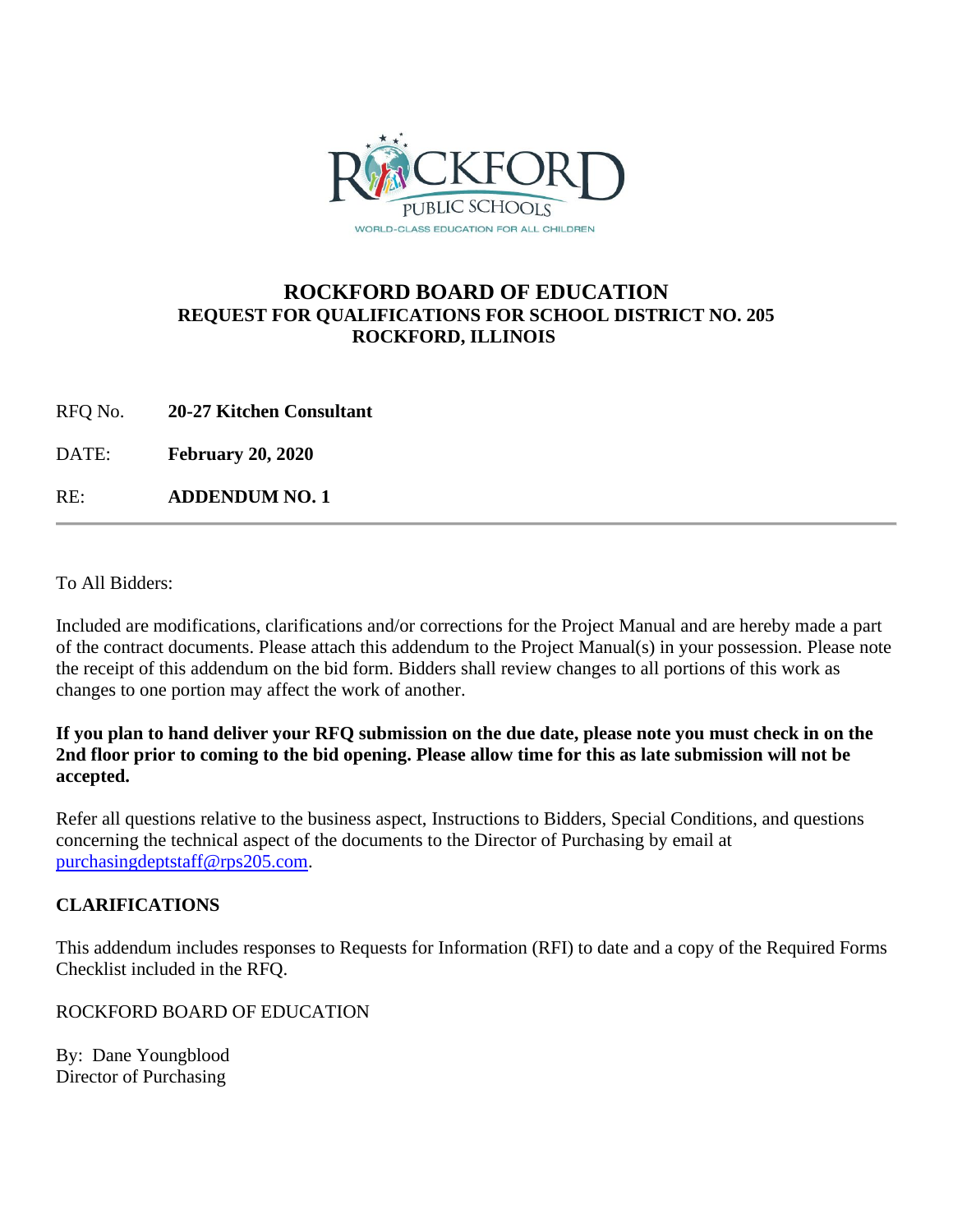

## **ROCKFORD BOARD OF EDUCATION REQUEST FOR QUALIFICATIONS FOR SCHOOL DISTRICT NO. 205 ROCKFORD, ILLINOIS**

RFQ No. **20-27 Kitchen Consultant**

DATE: **February 20, 2020**

RE: **ADDENDUM NO. 1**

To All Bidders:

Included are modifications, clarifications and/or corrections for the Project Manual and are hereby made a part of the contract documents. Please attach this addendum to the Project Manual(s) in your possession. Please note the receipt of this addendum on the bid form. Bidders shall review changes to all portions of this work as changes to one portion may affect the work of another.

#### **If you plan to hand deliver your RFQ submission on the due date, please note you must check in on the 2nd floor prior to coming to the bid opening. Please allow time for this as late submission will not be accepted.**

Refer all questions relative to the business aspect, Instructions to Bidders, Special Conditions, and questions concerning the technical aspect of the documents to the Director of Purchasing by email at [purchasingdeptstaff@rps205.com.](mailto:purchasingdeptstaff@rps205.com)

### **CLARIFICATIONS**

This addendum includes responses to Requests for Information (RFI) to date and a copy of the Required Forms Checklist included in the RFQ.

ROCKFORD BOARD OF EDUCATION

By: Dane Youngblood Director of Purchasing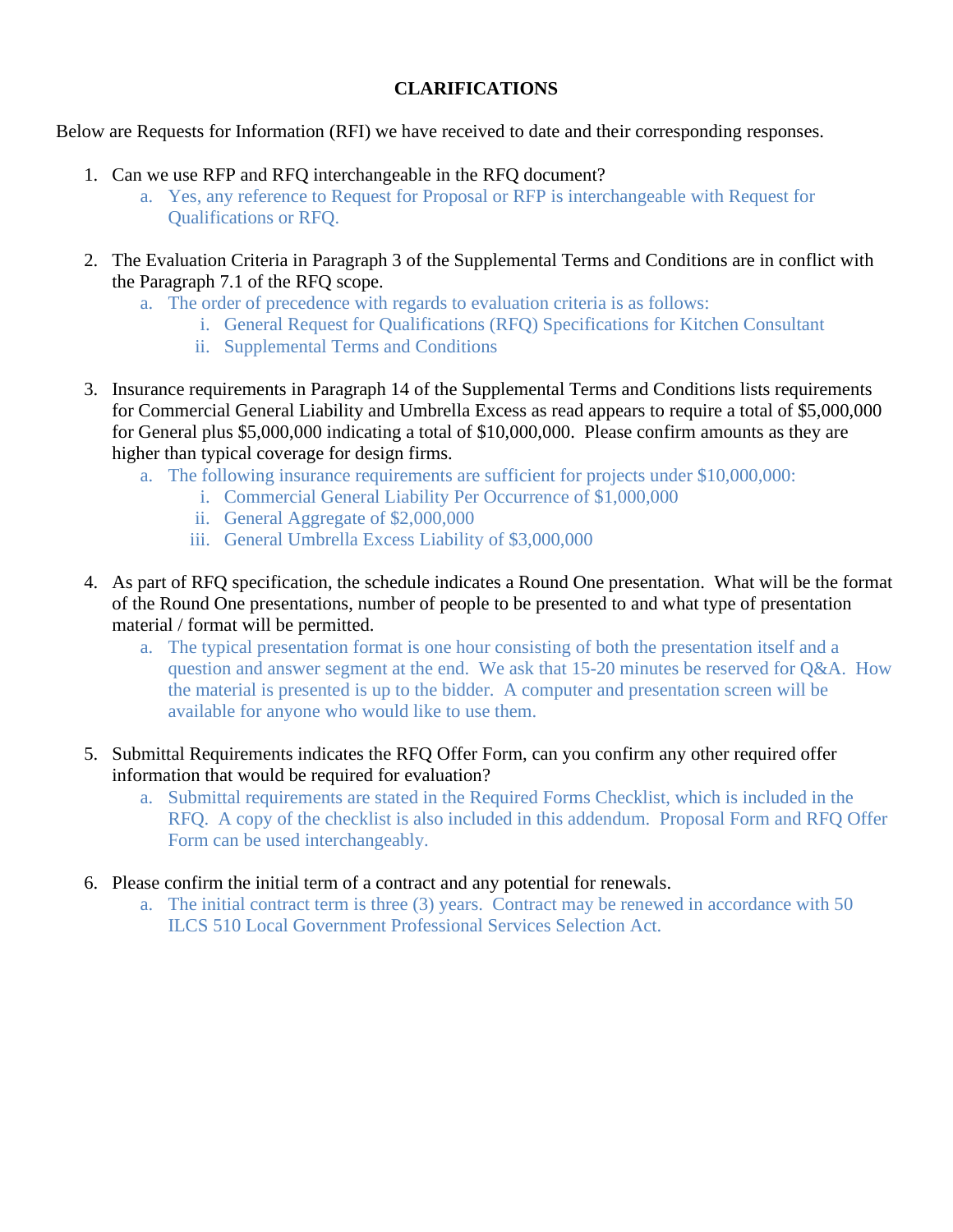## **CLARIFICATIONS**

Below are Requests for Information (RFI) we have received to date and their corresponding responses.

- 1. Can we use RFP and RFQ interchangeable in the RFQ document?
	- a. Yes, any reference to Request for Proposal or RFP is interchangeable with Request for Qualifications or RFQ.
- 2. The Evaluation Criteria in Paragraph 3 of the Supplemental Terms and Conditions are in conflict with the Paragraph 7.1 of the RFQ scope.
	- a. The order of precedence with regards to evaluation criteria is as follows:
		- i. General Request for Qualifications (RFQ) Specifications for Kitchen Consultant
		- ii. Supplemental Terms and Conditions
- 3. Insurance requirements in Paragraph 14 of the Supplemental Terms and Conditions lists requirements for Commercial General Liability and Umbrella Excess as read appears to require a total of \$5,000,000 for General plus \$5,000,000 indicating a total of \$10,000,000. Please confirm amounts as they are higher than typical coverage for design firms.
	- a. The following insurance requirements are sufficient for projects under \$10,000,000:
		- i. Commercial General Liability Per Occurrence of \$1,000,000
		- ii. General Aggregate of \$2,000,000
		- iii. General Umbrella Excess Liability of \$3,000,000
- 4. As part of RFQ specification, the schedule indicates a Round One presentation. What will be the format of the Round One presentations, number of people to be presented to and what type of presentation material / format will be permitted.
	- a. The typical presentation format is one hour consisting of both the presentation itself and a question and answer segment at the end. We ask that 15-20 minutes be reserved for Q&A. How the material is presented is up to the bidder. A computer and presentation screen will be available for anyone who would like to use them.
- 5. Submittal Requirements indicates the RFQ Offer Form, can you confirm any other required offer information that would be required for evaluation?
	- a. Submittal requirements are stated in the Required Forms Checklist, which is included in the RFQ. A copy of the checklist is also included in this addendum. Proposal Form and RFQ Offer Form can be used interchangeably.
- 6. Please confirm the initial term of a contract and any potential for renewals.
	- a. The initial contract term is three (3) years. Contract may be renewed in accordance with 50 ILCS 510 Local Government Professional Services Selection Act.